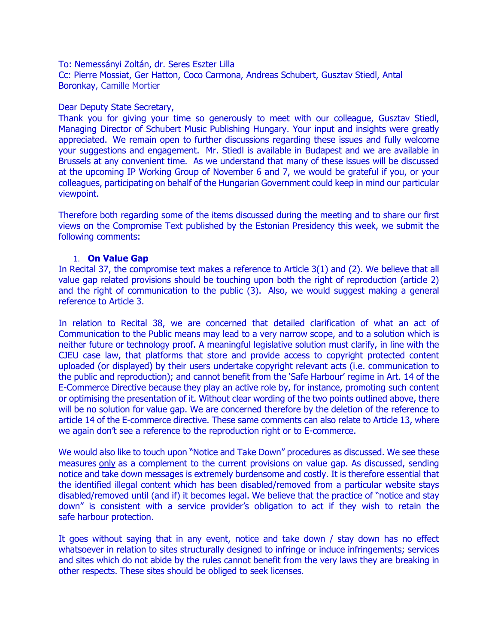To: Nemessányi Zoltán, dr. Seres Eszter Lilla Cc: Pierre Mossiat, Ger Hatton, Coco Carmona, Andreas Schubert, Gusztav Stiedl, Antal Boronkay, Camille Mortier

## Dear Deputy State Secretary,

Thank you for giving your time so generously to meet with our colleague, Gusztav Stiedl, Managing Director of Schubert Music Publishing Hungary. Your input and insights were greatly appreciated. We remain open to further discussions regarding these issues and fully welcome your suggestions and engagement. Mr. Stiedl is available in Budapest and we are available in Brussels at any convenient time. As we understand that many of these issues will be discussed at the upcoming IP Working Group of November 6 and 7, we would be grateful if you, or your colleagues, participating on behalf of the Hungarian Government could keep in mind our particular viewpoint.

Therefore both regarding some of the items discussed during the meeting and to share our first views on the Compromise Text published by the Estonian Presidency this week, we submit the following comments:

## 1. **On Value Gap**

In Recital 37, the compromise text makes a reference to Article 3(1) and (2). We believe that all value gap related provisions should be touching upon both the right of reproduction (article 2) and the right of communication to the public (3). Also, we would suggest making a general reference to Article 3.

In relation to Recital 38, we are concerned that detailed clarification of what an act of Communication to the Public means may lead to a very narrow scope, and to a solution which is neither future or technology proof. A meaningful legislative solution must clarify, in line with the CJEU case law, that platforms that store and provide access to copyright protected content uploaded (or displayed) by their users undertake copyright relevant acts (i.e. communication to the public and reproduction); and cannot benefit from the 'Safe Harbour' regime in Art. 14 of the E-Commerce Directive because they play an active role by, for instance, promoting such content or optimising the presentation of it. Without clear wording of the two points outlined above, there will be no solution for value gap. We are concerned therefore by the deletion of the reference to article 14 of the E-commerce directive. These same comments can also relate to Article 13, where we again don't see a reference to the reproduction right or to E-commerce.

We would also like to touch upon "Notice and Take Down" procedures as discussed. We see these measures only as a complement to the current provisions on value gap. As discussed, sending notice and take down messages is extremely burdensome and costly. It is therefore essential that the identified illegal content which has been disabled/removed from a particular website stays disabled/removed until (and if) it becomes legal. We believe that the practice of "notice and stay down" is consistent with a service provider's obligation to act if they wish to retain the safe harbour protection.

It goes without saying that in any event, notice and take down / stay down has no effect whatsoever in relation to sites structurally designed to infringe or induce infringements; services and sites which do not abide by the rules cannot benefit from the very laws they are breaking in other respects. These sites should be obliged to seek licenses.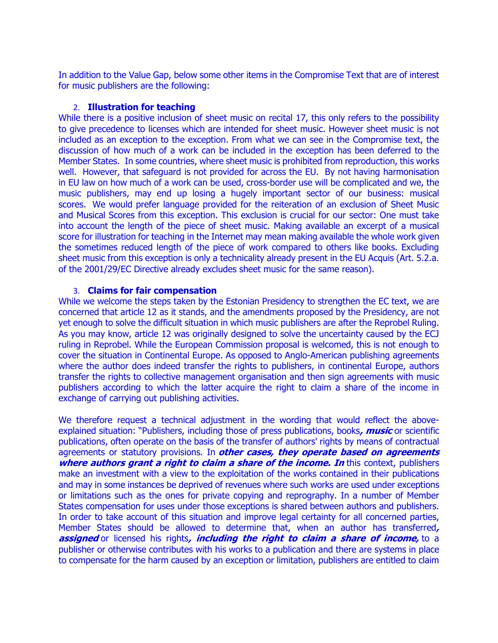In addition to the Value Gap, below some other items in the Compromise Text that are of interest for music publishers are the following:

## 2. **Illustration for teaching**

While there is a positive inclusion of sheet music on recital 17, this only refers to the possibility to give precedence to licenses which are intended for sheet music. However sheet music is not included as an exception to the exception. From what we can see in the Compromise text, the discussion of how much of a work can be included in the exception has been deferred to the Member States. In some countries, where sheet music is prohibited from reproduction, this works well. However, that safeguard is not provided for across the EU. By not having harmonisation in EU law on how much of a work can be used, cross-border use will be complicated and we, the music publishers, may end up losing a hugely important sector of our business: musical scores. We would prefer language provided for the reiteration of an exclusion of Sheet Music and Musical Scores from this exception. This exclusion is crucial for our sector: One must take into account the length of the piece of sheet music. Making available an excerpt of a musical score for illustration for teaching in the Internet may mean making available the whole work given the sometimes reduced length of the piece of work compared to others like books. Excluding sheet music from this exception is only a technicality already present in the EU Acquis (Art. 5.2.a. of the 2001/29/EC Directive already excludes sheet music for the same reason).

## 3. **Claims for fair compensation**

While we welcome the steps taken by the Estonian Presidency to strengthen the EC text, we are concerned that article 12 as it stands, and the amendments proposed by the Presidency, are not yet enough to solve the difficult situation in which music publishers are after the Reprobel Ruling. As you may know, article 12 was originally designed to solve the uncertainty caused by the ECJ ruling in Reprobel. While the European Commission proposal is welcomed, this is not enough to cover the situation in Continental Europe. As opposed to Anglo-American publishing agreements where the author does indeed transfer the rights to publishers, in continental Europe, authors transfer the rights to collective management organisation and then sign agreements with music publishers according to which the latter acquire the right to claim a share of the income in exchange of carrying out publishing activities.

We therefore request a technical adjustment in the wording that would reflect the aboveexplained situation: "Publishers, including those of press publications, books**, music** or scientific publications, often operate on the basis of the transfer of authors' rights by means of contractual agreements or statutory provisions. In **other cases, they operate based on agreements where authors grant a right to claim a share of the income. In this context, publishers** make an investment with a view to the exploitation of the works contained in their publications and may in some instances be deprived of revenues where such works are used under exceptions or limitations such as the ones for private copying and reprography. In a number of Member States compensation for uses under those exceptions is shared between authors and publishers. In order to take account of this situation and improve legal certainty for all concerned parties, Member States should be allowed to determine that, when an author has transferred**, assigned** or licensed his rights**, including the right to claim a share of income,** to a publisher or otherwise contributes with his works to a publication and there are systems in place to compensate for the harm caused by an exception or limitation, publishers are entitled to claim